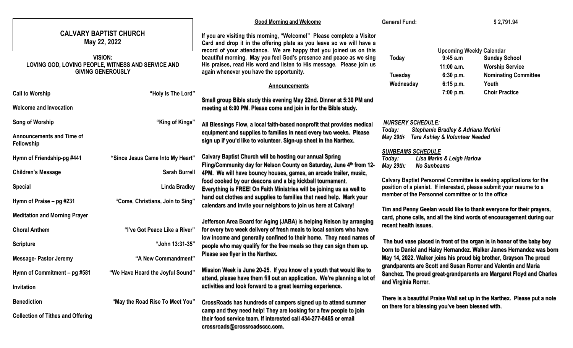|                                                                                                                                                   |                                                          | <b>Good Morning and Welcome</b>                                                                                                                                                                                                                                                                                                                                                                                                                                                                                                                                                                                                                                                     | <b>General Fund:</b>                                                                                                                                                                                                                                                                                                                                                                  | \$2,791.94                                                                                                                                                |
|---------------------------------------------------------------------------------------------------------------------------------------------------|----------------------------------------------------------|-------------------------------------------------------------------------------------------------------------------------------------------------------------------------------------------------------------------------------------------------------------------------------------------------------------------------------------------------------------------------------------------------------------------------------------------------------------------------------------------------------------------------------------------------------------------------------------------------------------------------------------------------------------------------------------|---------------------------------------------------------------------------------------------------------------------------------------------------------------------------------------------------------------------------------------------------------------------------------------------------------------------------------------------------------------------------------------|-----------------------------------------------------------------------------------------------------------------------------------------------------------|
| <b>CALVARY BAPTIST CHURCH</b><br>May 22, 2022<br><b>VISION:</b><br>LOVING GOD, LOVING PEOPLE, WITNESS AND SERVICE AND<br><b>GIVING GENEROUSLY</b> |                                                          | If you are visiting this morning, "Welcome!" Please complete a Visitor<br>Card and drop it in the offering plate as you leave so we will have a<br>record of your attendance. We are happy that you joined us on this<br>beautiful morning. May you feel God's presence and peace as we sing<br>His praises, read His word and listen to His message. Please join us<br>again whenever you have the opportunity.                                                                                                                                                                                                                                                                    | Today<br>Tuesday                                                                                                                                                                                                                                                                                                                                                                      | <b>Upcoming Weekly Calendar</b><br>9:45 a.m<br><b>Sunday School</b><br>$11:00$ a.m.<br><b>Worship Service</b><br>6:30 p.m.<br><b>Nominating Committee</b> |
| <b>Call to Worship</b><br><b>Welcome and Invocation</b>                                                                                           | "Holy Is The Lord"                                       | <b>Announcements</b><br>Small group Bible study this evening May 22nd. Dinner at 5:30 PM and<br>meeting at 6:00 PM. Please come and join in for the Bible study.                                                                                                                                                                                                                                                                                                                                                                                                                                                                                                                    | Wednesday                                                                                                                                                                                                                                                                                                                                                                             | 6:15 p.m.<br>Youth<br><b>Choir Practice</b><br>7:00 p.m.                                                                                                  |
| Song of Worship<br><b>Announcements and Time of</b><br>Fellowship                                                                                 | "King of Kings"                                          | All Blessings Flow, a local faith-based nonprofit that provides medical<br>equipment and supplies to families in need every two weeks. Please<br>sign up if you'd like to volunteer. Sign-up sheet in the Narthex.                                                                                                                                                                                                                                                                                                                                                                                                                                                                  | <b>NURSERY SCHEDULE:</b><br>Stephanie Bradley & Adriana Merlini<br>Today:<br>May 29th<br><b>Tara Ashley &amp; Volunteer Needed</b>                                                                                                                                                                                                                                                    |                                                                                                                                                           |
| Hymn of Friendship-pg #441<br><b>Children's Message</b>                                                                                           | "Since Jesus Came Into My Heart"<br><b>Sarah Burrell</b> | <b>Calvary Baptist Church will be hosting our annual Spring</b><br>Fling/Community day for Nelson County on Saturday, June 4th from 12-                                                                                                                                                                                                                                                                                                                                                                                                                                                                                                                                             | <b>SUNBEAMS SCHEDULE</b><br>Today:<br>May 29th:<br><b>No Sunbeams</b>                                                                                                                                                                                                                                                                                                                 | <b>Lisa Marks &amp; Leigh Harlow</b>                                                                                                                      |
| <b>Special</b><br>Hymn of Praise - pg #231                                                                                                        | <b>Linda Bradley</b><br>"Come, Christians, Join to Sing" | 4PM. We will have bouncy houses, games, an arcade trailer, music,<br>food cooked by our deacons and a big kickball tournament.<br>Everything is FREE! On Faith Ministries will be joining us as well to<br>hand out clothes and supplies to families that need help. Mark your<br>calendars and invite your neighbors to join us here at Calvary!<br>Jefferson Area Board for Aging (JABA) is helping Nelson by arranging<br>for every two week delivery of fresh meals to local seniors who have<br>low income and generally confined to their home. They need names of<br>people who may qualify for the free meals so they can sign them up.<br>Please see flyer in the Narthex. | Calvary Baptist Personnel Committee is seeking applications for the<br>position of a pianist. If interested, please submit your resume to a<br>member of the Personnel committee or to the office                                                                                                                                                                                     |                                                                                                                                                           |
| <b>Meditation and Morning Prayer</b><br><b>Choral Anthem</b>                                                                                      | "I've Got Peace Like a River"                            |                                                                                                                                                                                                                                                                                                                                                                                                                                                                                                                                                                                                                                                                                     | Tim and Penny Geelan would like to thank everyone for their prayers,<br>card, phone calls, and all the kind words of encouragement during our<br>recent health issues.                                                                                                                                                                                                                |                                                                                                                                                           |
| <b>Scripture</b>                                                                                                                                  | "John 13:31-35"                                          |                                                                                                                                                                                                                                                                                                                                                                                                                                                                                                                                                                                                                                                                                     | The bud vase placed in front of the organ is in honor of the baby boy<br>born to Daniel and Haley Hernandez. Walker James Hernandez was born<br>May 14, 2022. Walker joins his proud big brother, Grayson The proud<br>grandparents are Scott and Susan Rorrer and Valentin and Maria<br>Sanchez. The proud great-grandparents are Margaret Floyd and Charles<br>and Virginia Rorrer. |                                                                                                                                                           |
| <b>Message- Pastor Jeremy</b><br>Hymn of Commitment - pg #581<br>Invitation                                                                       | "A New Commandment"<br>"We Have Heard the Joyful Sound"  | Mission Week is June 20-25. If you know of a youth that would like to<br>attend, please have them fill out an application. We're planning a lot of<br>activities and look forward to a great learning experience.                                                                                                                                                                                                                                                                                                                                                                                                                                                                   |                                                                                                                                                                                                                                                                                                                                                                                       |                                                                                                                                                           |
| <b>Benediction</b><br><b>Collection of Tithes and Offering</b>                                                                                    | "May the Road Rise To Meet You"                          | CrossRoads has hundreds of campers signed up to attend summer<br>camp and they need help! They are looking for a few people to join<br>their food service team. If interested call 434-277-8465 or email<br>crossroads@crossroadsccc.com.                                                                                                                                                                                                                                                                                                                                                                                                                                           |                                                                                                                                                                                                                                                                                                                                                                                       | There is a beautiful Praise Wall set up in the Narthex. Please put a note<br>on there for a blessing you've been blessed with.                            |